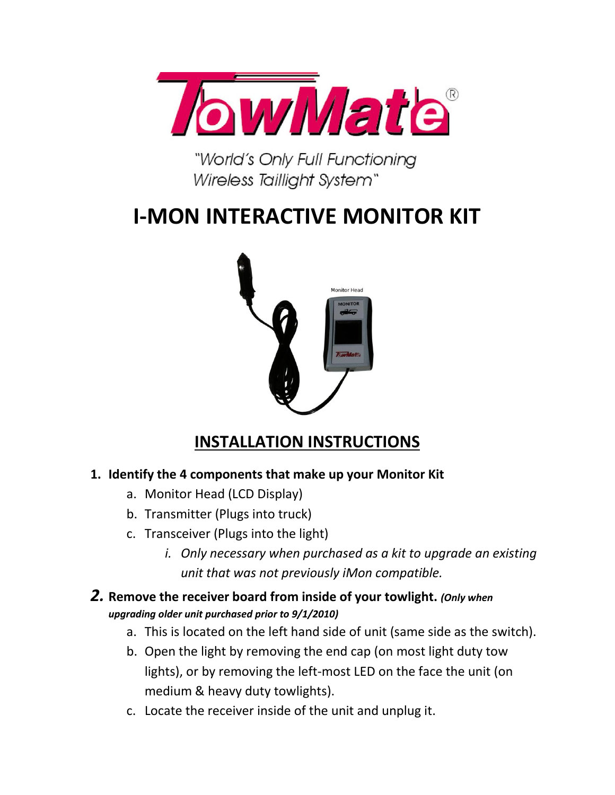

"World's Only Full Functioning Wireless Taillight System"

## **I-MON INTERACTIVE MONITOR KIT**



## **INSTALLATION INSTRUCTIONS**

## **1. Identify the 4 components that make up your Monitor Kit**

- a. Monitor Head (LCD Display)
- b. Transmitter (Plugs into truck)
- c. Transceiver (Plugs into the light)
	- *i. Only necessary when purchased as a kit to upgrade an existing unit that was not previously iMon compatible.*
- *2.* **Remove the receiver board from inside of your towlight.** *(Only when upgrading older unit purchased prior to 9/1/2010)*
	- a. This is located on the left hand side of unit (same side as the switch).
	- b. Open the light by removing the end cap (on most light duty tow lights), or by removing the left-most LED on the face the unit (on medium & heavy duty towlights).
	- c. Locate the receiver inside of the unit and unplug it.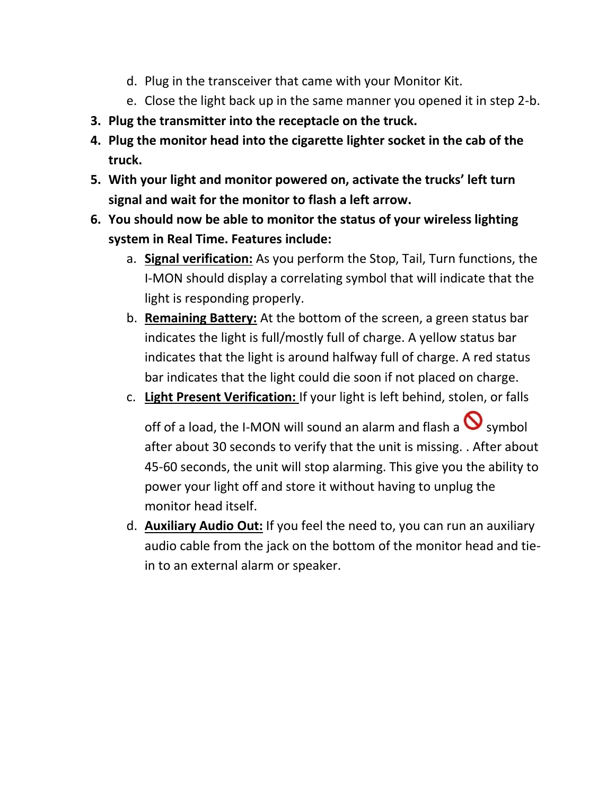- d. Plug in the transceiver that came with your Monitor Kit.
- e. Close the light back up in the same manner you opened it in step 2-b.
- **3. Plug the transmitter into the receptacle on the truck.**
- **4. Plug the monitor head into the cigarette lighter socket in the cab of the truck.**
- **5. With your light and monitor powered on, activate the trucks' left turn signal and wait for the monitor to flash a left arrow.**
- **6. You should now be able to monitor the status of your wireless lighting system in Real Time. Features include:**
	- a. **Signal verification:** As you perform the Stop, Tail, Turn functions, the I-MON should display a correlating symbol that will indicate that the light is responding properly.
	- b. **Remaining Battery:** At the bottom of the screen, a green status bar indicates the light is full/mostly full of charge. A yellow status bar indicates that the light is around halfway full of charge. A red status bar indicates that the light could die soon if not placed on charge.
	- c. **Light Present Verification:** If your light is left behind, stolen, or falls

off of a load, the I-MON will sound an alarm and flash a  $\bigcirc$  symbol after about 30 seconds to verify that the unit is missing. . After about 45-60 seconds, the unit will stop alarming. This give you the ability to power your light off and store it without having to unplug the monitor head itself.

d. **Auxiliary Audio Out:** If you feel the need to, you can run an auxiliary audio cable from the jack on the bottom of the monitor head and tiein to an external alarm or speaker.